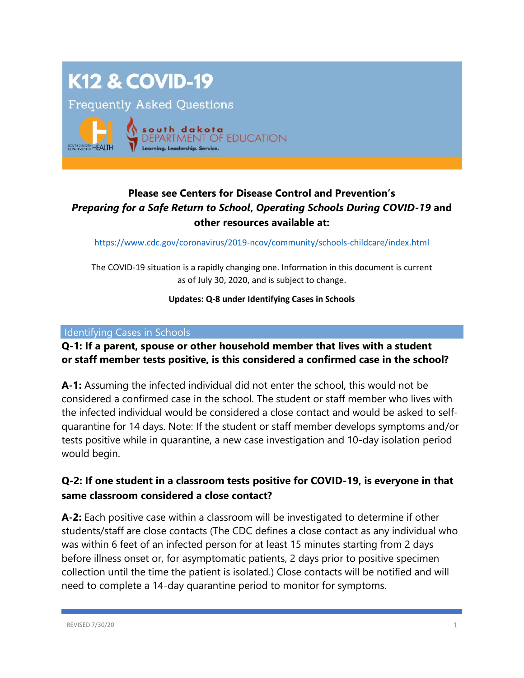# **K12 & COVID-19**

**Frequently Asked Questions** 



# **Please see Centers for Disease Control and Prevention's**  *Preparing for a Safe Return to School***,** *Operating Schools During COVID-19* **and other resources available at:**

<https://www.cdc.gov/coronavirus/2019-ncov/community/schools-childcare/index.html>

The COVID-19 situation is a rapidly changing one. Information in this document is current as of July 30, 2020, and is subject to change.

#### **Updates: Q-8 under Identifying Cases in Schools**

#### Identifying Cases in Schools

## **Q-1: If a parent, spouse or other household member that lives with a student or staff member tests positive, is this considered a confirmed case in the school?**

**A-1:** Assuming the infected individual did not enter the school, this would not be considered a confirmed case in the school. The student or staff member who lives with the infected individual would be considered a close contact and would be asked to selfquarantine for 14 days. Note: If the student or staff member develops symptoms and/or tests positive while in quarantine, a new case investigation and 10-day isolation period would begin.

## **Q-2: If one student in a classroom tests positive for COVID-19, is everyone in that same classroom considered a close contact?**

**A-2:** Each positive case within a classroom will be investigated to determine if other students/staff are close contacts (The CDC defines a close contact as any individual who was within 6 feet of an infected person for at least 15 minutes starting from 2 days before illness onset or, for asymptomatic patients, 2 days prior to positive specimen collection until the time the patient is isolated.) Close contacts will be notified and will need to complete a 14-day quarantine period to monitor for symptoms.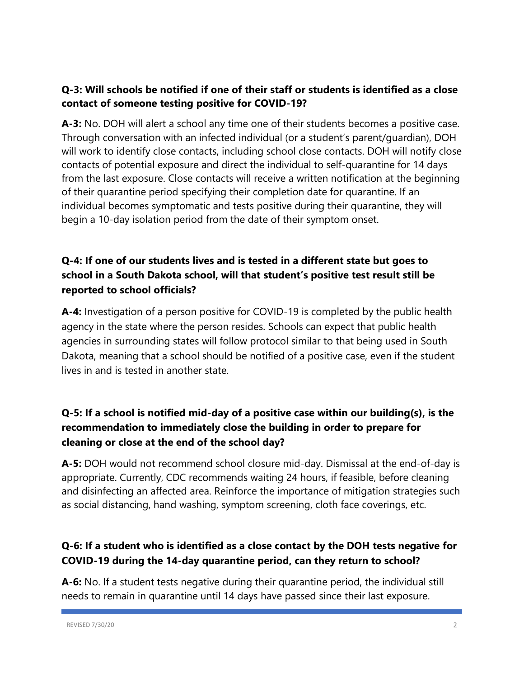# **Q-3: Will schools be notified if one of their staff or students is identified as a close contact of someone testing positive for COVID-19?**

**A-3:** No. DOH will alert a school any time one of their students becomes a positive case. Through conversation with an infected individual (or a student's parent/guardian), DOH will work to identify close contacts, including school close contacts. DOH will notify close contacts of potential exposure and direct the individual to self-quarantine for 14 days from the last exposure. Close contacts will receive a written notification at the beginning of their quarantine period specifying their completion date for quarantine. If an individual becomes symptomatic and tests positive during their quarantine, they will begin a 10-day isolation period from the date of their symptom onset.

# **Q-4: If one of our students lives and is tested in a different state but goes to school in a South Dakota school, will that student's positive test result still be reported to school officials?**

**A-4:** Investigation of a person positive for COVID-19 is completed by the public health agency in the state where the person resides. Schools can expect that public health agencies in surrounding states will follow protocol similar to that being used in South Dakota, meaning that a school should be notified of a positive case, even if the student lives in and is tested in another state.

# **Q-5: If a school is notified mid-day of a positive case within our building(s), is the recommendation to immediately close the building in order to prepare for cleaning or close at the end of the school day?**

**A-5:** DOH would not recommend school closure mid-day. Dismissal at the end-of-day is appropriate. Currently, CDC recommends waiting 24 hours, if feasible, before cleaning and disinfecting an affected area. Reinforce the importance of mitigation strategies such as social distancing, hand washing, symptom screening, cloth face coverings, etc.

# **Q-6: If a student who is identified as a close contact by the DOH tests negative for COVID-19 during the 14-day quarantine period, can they return to school?**

**A-6:** No. If a student tests negative during their quarantine period, the individual still needs to remain in quarantine until 14 days have passed since their last exposure.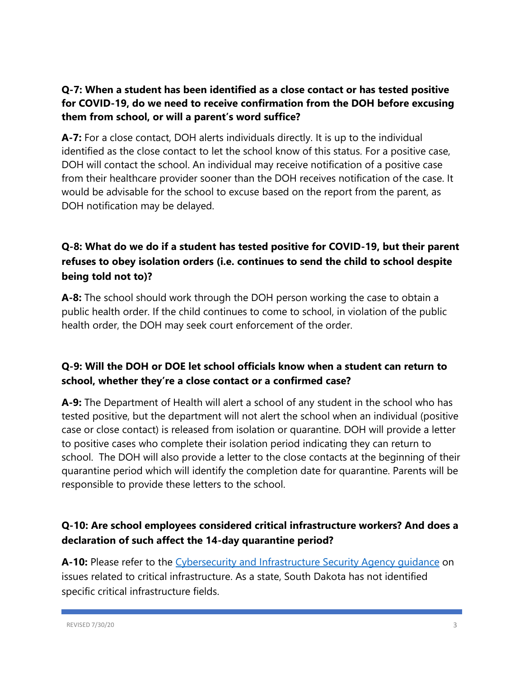# **Q-7: When a student has been identified as a close contact or has tested positive for COVID-19, do we need to receive confirmation from the DOH before excusing them from school, or will a parent's word suffice?**

**A-7:** For a close contact, DOH alerts individuals directly. It is up to the individual identified as the close contact to let the school know of this status. For a positive case, DOH will contact the school. An individual may receive notification of a positive case from their healthcare provider sooner than the DOH receives notification of the case. It would be advisable for the school to excuse based on the report from the parent, as DOH notification may be delayed.

# **Q-8: What do we do if a student has tested positive for COVID-19, but their parent refuses to obey isolation orders (i.e. continues to send the child to school despite being told not to)?**

**A-8:** The school should work through the DOH person working the case to obtain a public health order. If the child continues to come to school, in violation of the public health order, the DOH may seek court enforcement of the order.

# **Q-9: Will the DOH or DOE let school officials know when a student can return to school, whether they're a close contact or a confirmed case?**

**A-9:** The Department of Health will alert a school of any student in the school who has tested positive, but the department will not alert the school when an individual (positive case or close contact) is released from isolation or quarantine. DOH will provide a letter to positive cases who complete their isolation period indicating they can return to school. The DOH will also provide a letter to the close contacts at the beginning of their quarantine period which will identify the completion date for quarantine. Parents will be responsible to provide these letters to the school.

# **Q-10: Are school employees considered critical infrastructure workers? And does a declaration of such affect the 14-day quarantine period?**

A-10: Please refer to the Cybersecurity and Infrastructure Security Agency quidance on issues related to critical infrastructure. As a state, South Dakota has not identified specific critical infrastructure fields.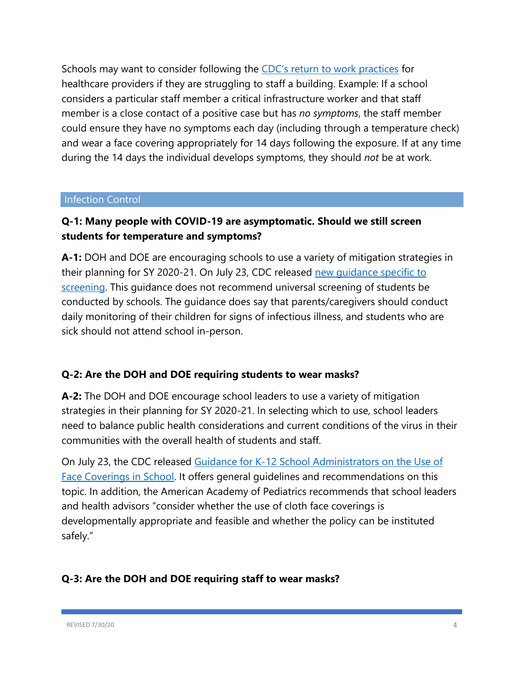Schools may want to consider following the CDC's [return to work practices](https://www.cdc.gov/coronavirus/2019-ncov/hcp/return-to-work.html) for healthcare providers if they are struggling to staff a building. Example: If a school considers a particular staff member a critical infrastructure worker and that staff member is a close contact of a positive case but has *no symptoms*, the staff member could ensure they have no symptoms each day (including through a temperature check) and wear a face covering appropriately for 14 days following the exposure. If at any time during the 14 days the individual develops symptoms, they should *not* be at work.

#### Infection Control

# **Q-1: Many people with COVID-19 are asymptomatic. Should we still screen students for temperature and symptoms?**

**A-1:** DOH and DOE are encouraging schools to use a variety of mitigation strategies in their planning for SY 2020-21. On July 23, CDC released new quidance specific to [screening.](https://www.cdc.gov/coronavirus/2019-ncov/community/schools-childcare/symptom-screening.html) This guidance does not recommend universal screening of students be conducted by schools. The guidance does say that parents/caregivers should conduct daily monitoring of their children for signs of infectious illness, and students who are sick should not attend school in-person.

### **Q-2: Are the DOH and DOE requiring students to wear masks?**

**A-2:** The DOH and DOE encourage school leaders to use a variety of mitigation strategies in their planning for SY 2020-21. In selecting which to use, school leaders need to balance public health considerations and current conditions of the virus in their communities with the overall health of students and staff.

On July 23, the CDC released [Guidance for K-12 School Administrators on the Use of](https://www.cdc.gov/coronavirus/2019-ncov/community/schools-childcare/cloth-face-cover.html)  [Face Coverings in School.](https://www.cdc.gov/coronavirus/2019-ncov/community/schools-childcare/cloth-face-cover.html) It offers general guidelines and recommendations on this topic. In addition, the American Academy of Pediatrics recommends that school leaders and health advisors "consider whether the use of cloth face coverings is developmentally appropriate and feasible and whether the policy can be instituted safely."

## **Q-3: Are the DOH and DOE requiring staff to wear masks?**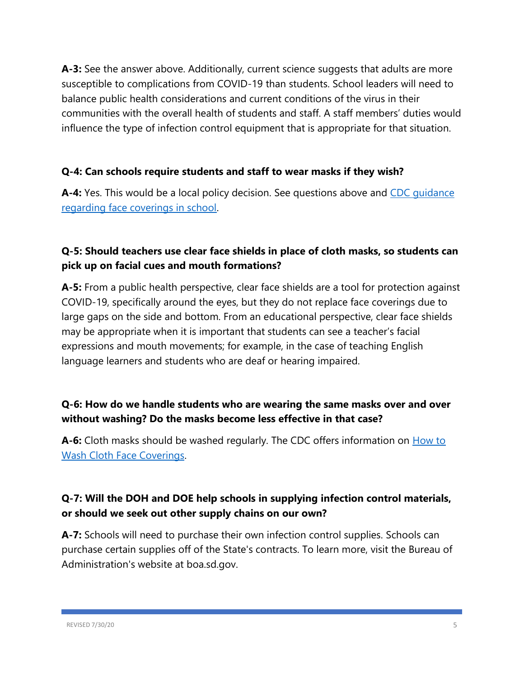**A-3:** See the answer above. Additionally, current science suggests that adults are more susceptible to complications from COVID-19 than students. School leaders will need to balance public health considerations and current conditions of the virus in their communities with the overall health of students and staff. A staff members' duties would influence the type of infection control equipment that is appropriate for that situation.

## **Q-4: Can schools require students and staff to wear masks if they wish?**

A-4: Yes. This would be a local policy decision. See questions above and CDC quidance [regarding face coverings in school.](https://www.cdc.gov/coronavirus/2019-ncov/community/schools-childcare/cloth-face-cover.html)

# **Q-5: Should teachers use clear face shields in place of cloth masks, so students can pick up on facial cues and mouth formations?**

**A-5:** From a public health perspective, clear face shields are a tool for protection against COVID-19, specifically around the eyes, but they do not replace face coverings due to large gaps on the side and bottom. From an educational perspective, clear face shields may be appropriate when it is important that students can see a teacher's facial expressions and mouth movements; for example, in the case of teaching English language learners and students who are deaf or hearing impaired.

# **Q-6: How do we handle students who are wearing the same masks over and over without washing? Do the masks become less effective in that case?**

**A-6:** Cloth masks should be washed regularly. The CDC offers information on **How to** [Wash Cloth Face Coverings.](https://www.cdc.gov/coronavirus/2019-ncov/prevent-getting-sick/how-to-wash-cloth-face-coverings.html)

# **Q-7: Will the DOH and DOE help schools in supplying infection control materials, or should we seek out other supply chains on our own?**

**A-7:** Schools will need to purchase their own infection control supplies. Schools can purchase certain supplies off of the State's contracts. To learn more, visit the Bureau of Administration's website at boa.sd.gov.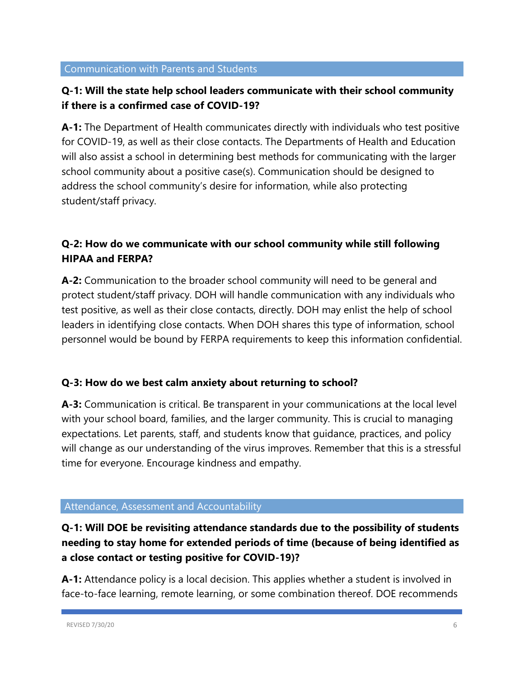## **Q-1: Will the state help school leaders communicate with their school community if there is a confirmed case of COVID-19?**

**A-1:** The Department of Health communicates directly with individuals who test positive for COVID-19, as well as their close contacts. The Departments of Health and Education will also assist a school in determining best methods for communicating with the larger school community about a positive case(s). Communication should be designed to address the school community's desire for information, while also protecting student/staff privacy.

# **Q-2: How do we communicate with our school community while still following HIPAA and FERPA?**

**A-2:** Communication to the broader school community will need to be general and protect student/staff privacy. DOH will handle communication with any individuals who test positive, as well as their close contacts, directly. DOH may enlist the help of school leaders in identifying close contacts. When DOH shares this type of information, school personnel would be bound by FERPA requirements to keep this information confidential.

### **Q-3: How do we best calm anxiety about returning to school?**

**A-3:** Communication is critical. Be transparent in your communications at the local level with your school board, families, and the larger community. This is crucial to managing expectations. Let parents, staff, and students know that guidance, practices, and policy will change as our understanding of the virus improves. Remember that this is a stressful time for everyone. Encourage kindness and empathy.

#### Attendance, Assessment and Accountability

# **Q-1: Will DOE be revisiting attendance standards due to the possibility of students needing to stay home for extended periods of time (because of being identified as a close contact or testing positive for COVID-19)?**

**A-1:** Attendance policy is a local decision. This applies whether a student is involved in face-to-face learning, remote learning, or some combination thereof. DOE recommends